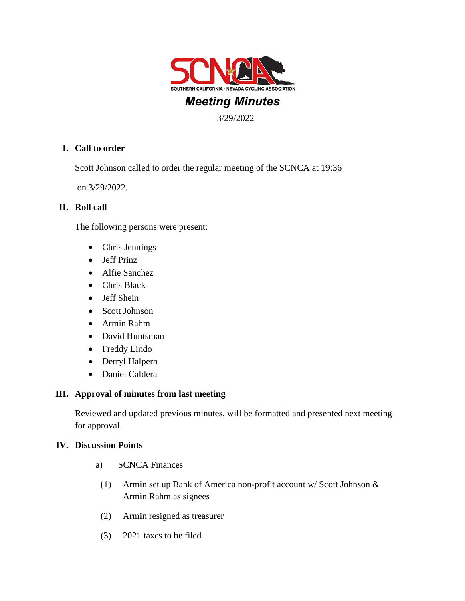

# *Meeting Minutes*

3/29/2022

# **I. Call to order**

Scott Johnson called to order the regular meeting of the SCNCA at 19:36

on 3/29/2022.

## **II. Roll call**

The following persons were present:

- Chris Jennings
- Jeff Prinz
- Alfie Sanchez
- Chris Black
- Jeff Shein
- Scott Johnson
- Armin Rahm
- David Huntsman
- Freddy Lindo
- Derryl Halpern
- Daniel Caldera

# **III. Approval of minutes from last meeting**

Reviewed and updated previous minutes, will be formatted and presented next meeting for approval

## **IV. Discussion Points**

- a) SCNCA Finances
- (1) Armin set up Bank of America non-profit account w/ Scott Johnson & Armin Rahm as signees
- (2) Armin resigned as treasurer
- (3) 2021 taxes to be filed